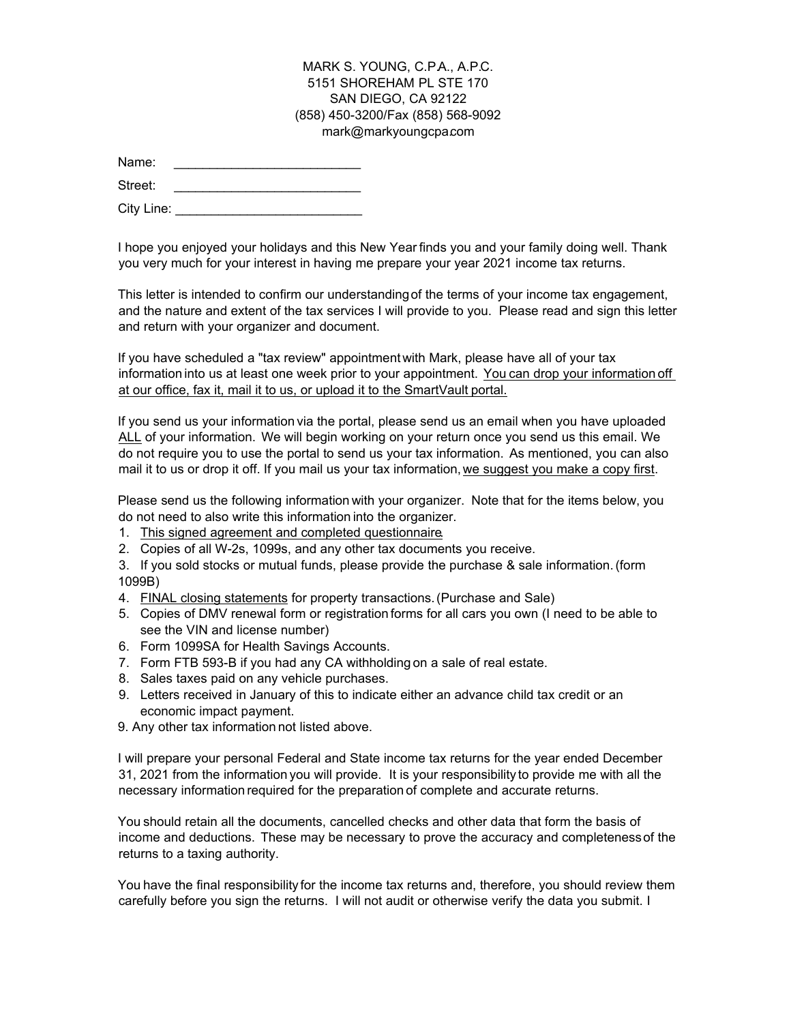### MARK S. YOUNG, C.P.A., A.P.C. 5151 SHOREHAM PL STE 170 SAN DIEGO, CA 92122 (858) 450-3200/Fax (858) 568-9092 mark@markyoungcpa.com

| Name: |
|-------|
|-------|

Street:

City Line: \_\_\_\_\_\_\_\_\_\_\_\_\_\_\_\_\_\_\_\_\_\_\_\_\_\_\_\_\_\_\_\_\_

I hope you enjoyed your holidays and this New Year finds you and your family doing well. Thank you very much for your interest in having me prepare your year 2021 income tax returns.

This letter is intended to confirm our understandingof the terms of your income tax engagement, and the nature and extent of the tax services I will provide to you. Please read and sign this letter and return with your organizer and document.

If you have scheduled a "tax review" appointmentwith Mark, please have all of your tax informationinto us at least one week prior to your appointment. Youcan drop your informationoff at our office, fax it, mail it to us, or upload it to the SmartVault portal.

If you send us your information via the portal, please send us an email when you have uploaded ALL of your information. We will begin working on your return once you send us this email. We do not require you to use the portal to send us your tax information. As mentioned, you can also mail it to us or drop it off. If you mail us your tax information, we suggest you make a copy first.

Please send us the following information with your organizer. Note that for the items below, you do not need to also write this information into the organizer.

- 1. This signed agreement and completed questionnaire.
- 2. Copies of all W-2s, 1099s, and any other tax documents you receive.
- 3. If you sold stocks or mutual funds, please provide the purchase & sale information.(form 1099B)
- 4. FINAL closing statements for property transactions.(Purchase and Sale)
- 5. Copies of DMV renewal form or registrationforms for all cars you own (I need to be able to see the VIN and license number)
- 6. Form 1099SA for Health Savings Accounts.
- 7. Form FTB 593-B if you had any CA withholdingon a sale of real estate.
- 8. Sales taxes paid on any vehicle purchases.
- 9. Letters received in January of this to indicate either an advance child tax credit or an economic impact payment.
- 9. Any other tax information not listed above.

I will prepare your personal Federal and State income tax returns for the year ended December 31, 2021 from the informationyou will provide. It is your responsibility to provide me with all the necessary information required for the preparation of complete and accurate returns.

Youshould retain all the documents, cancelled checks and other data that form the basis of income and deductions. These may be necessary to prove the accuracy and completenessof the returns to a taxing authority.

You have the final responsibility for the income tax returns and, therefore, you should review them carefully before you sign the returns. I will not audit or otherwise verify the data you submit. I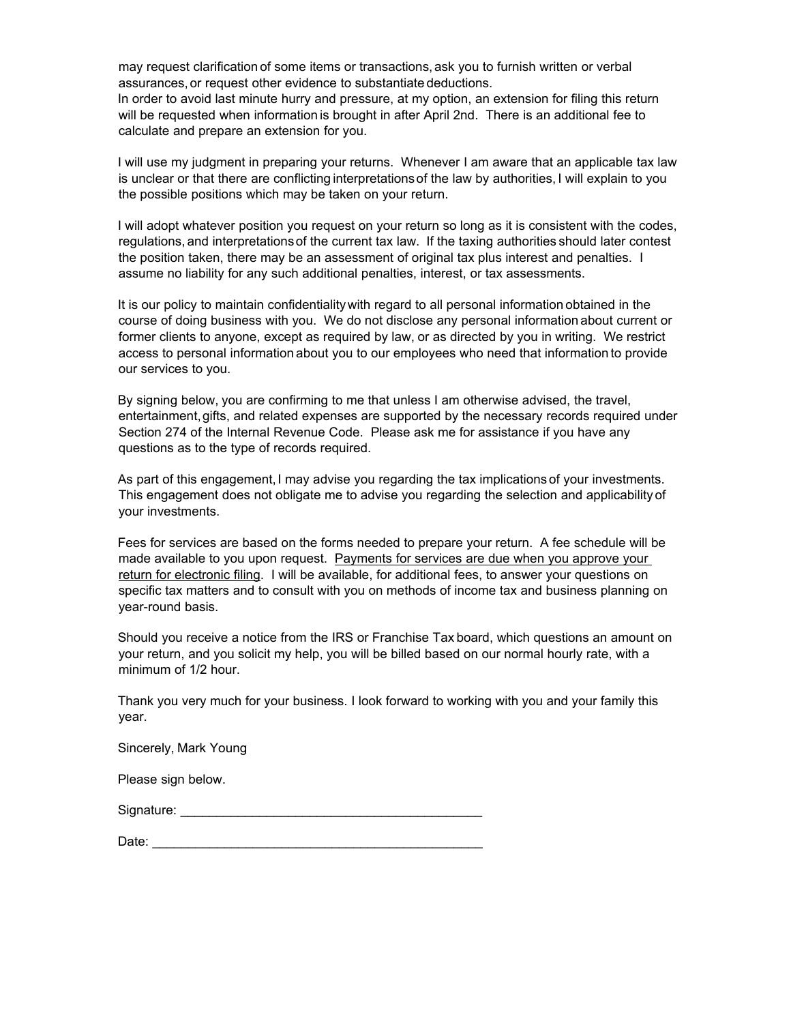may request clarificationof some items or transactions,ask you to furnish written or verbal assurances, or request other evidence to substantiate deductions. In order to avoid last minute hurry and pressure, at my option, an extension for filing this return will be requested when informationis brought in after April 2nd. There is an additional fee to calculate and prepare an extension for you.

I will use my judgment in preparing your returns. Whenever I am aware that an applicable tax law is unclear or that there are conflicting interpretations of the law by authorities, I will explain to you the possible positions which may be taken on your return.

I will adopt whatever position you request on your return so long as it is consistent with the codes, regulations,and interpretationsof the current tax law. If the taxing authorities should later contest the position taken, there may be an assessment of original tax plus interest and penalties. I assume no liability for any such additional penalties, interest, or tax assessments.

It is our policy to maintain confidentialitywith regard to all personal informationobtained in the course of doing business with you. We do not disclose any personal informationabout current or former clients to anyone, except as required by law, or as directed by you in writing. We restrict access to personal informationabout you to our employees who need that informationto provide our services to you.

By signing below, you are confirming to me that unless I am otherwise advised, the travel, entertainment,gifts, and related expenses are supported by the necessary records required under Section 274 of the Internal Revenue Code. Please ask me for assistance if you have any questions as to the type of records required.

As part of this engagement, I may advise you regarding the tax implications of your investments. This engagement does not obligate me to advise you regarding the selection and applicabilityof your investments.

Fees for services are based on the forms needed to prepare your return. A fee schedule will be made available to you upon request. Payments for services are due when you approve your return for electronic filing. I will be available, for additional fees, to answer your questions on specific tax matters and to consult with you on methods of income tax and business planning on year-round basis.

Should you receive a notice from the IRS or Franchise Taxboard, which questions an amount on your return, and you solicit my help, you will be billed based on our normal hourly rate, with a minimum of 1/2 hour.

Thank you very much for your business. I look forward to working with you and your family this year.

Sincerely, Mark Young

Please sign below.

| Signature: |  |
|------------|--|
|            |  |
|            |  |

| $\mathbf{r}$<br>Date: |  |
|-----------------------|--|
|                       |  |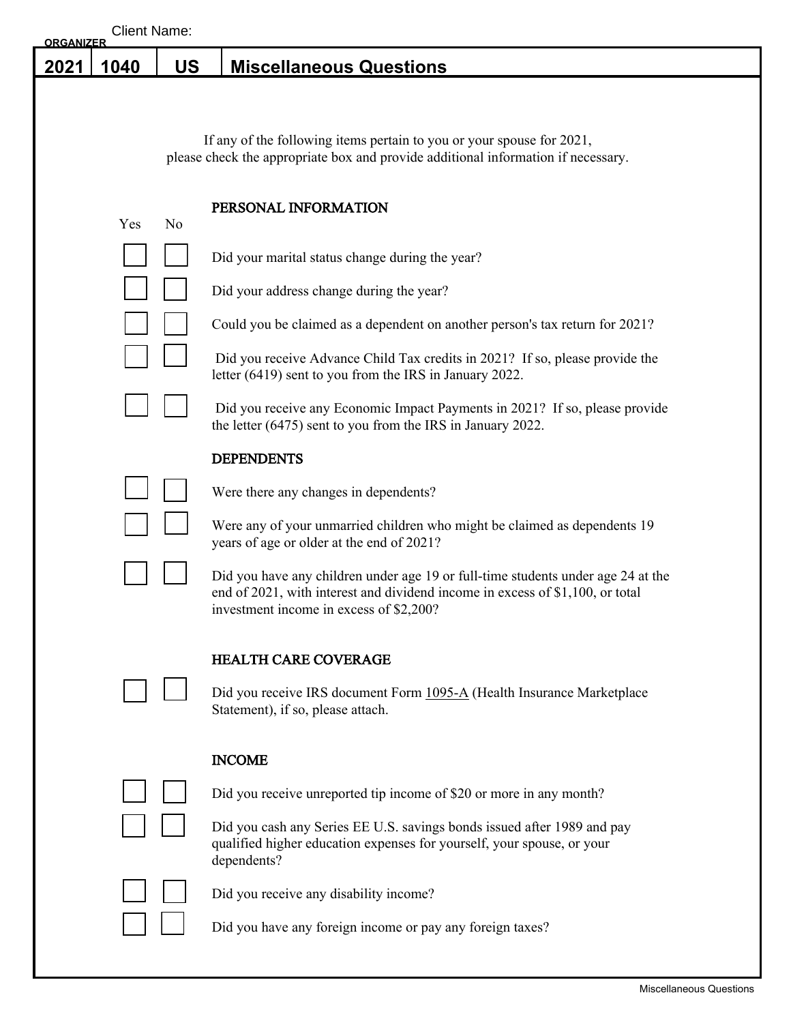# **2021 1040 US Miscellaneous Questions**

If any of the following items pertain to you or your spouse for 2021, please check the appropriate box and provide additional information if necessary.

#### PERSONAL INFORMATION

| Yes | $\rm No$ |
|-----|----------|
|     |          |

I.

Did your marital status change during the year?

Did your address change during the year?

Could you be claimed as a dependent on another person's tax return for 2021?

 Did you receive Advance Child Tax credits in 2021? If so, please provide the letter (6419) sent to you from the IRS in January 2022.

 Did you receive any Economic Impact Payments in 2021? If so, please provide the letter (6475) sent to you from the IRS in January 2022.

#### **DEPENDENTS**

Were there any changes in dependents?

Were any of your unmarried children who might be claimed as dependents 19 years of age or older at the end of 2021?

Did you have any children under age 19 or full-time students under age 24 at the end of 2021, with interest and dividend income in excess of \$1,100, or total investment income in excess of \$2,200?

## HEALTH CARE COVERAGE

Did you receive IRS document Form 1095-A (Health Insurance Marketplace Statement), if so, please attach.

## INCOME

Did you receive unreported tip income of \$20 or more in any month?



Did you cash any Series EE U.S. savings bonds issued after 1989 and pay qualified higher education expenses for yourself, your spouse, or your dependents?



Did you receive any disability income?

Did you have any foreign income or pay any foreign taxes?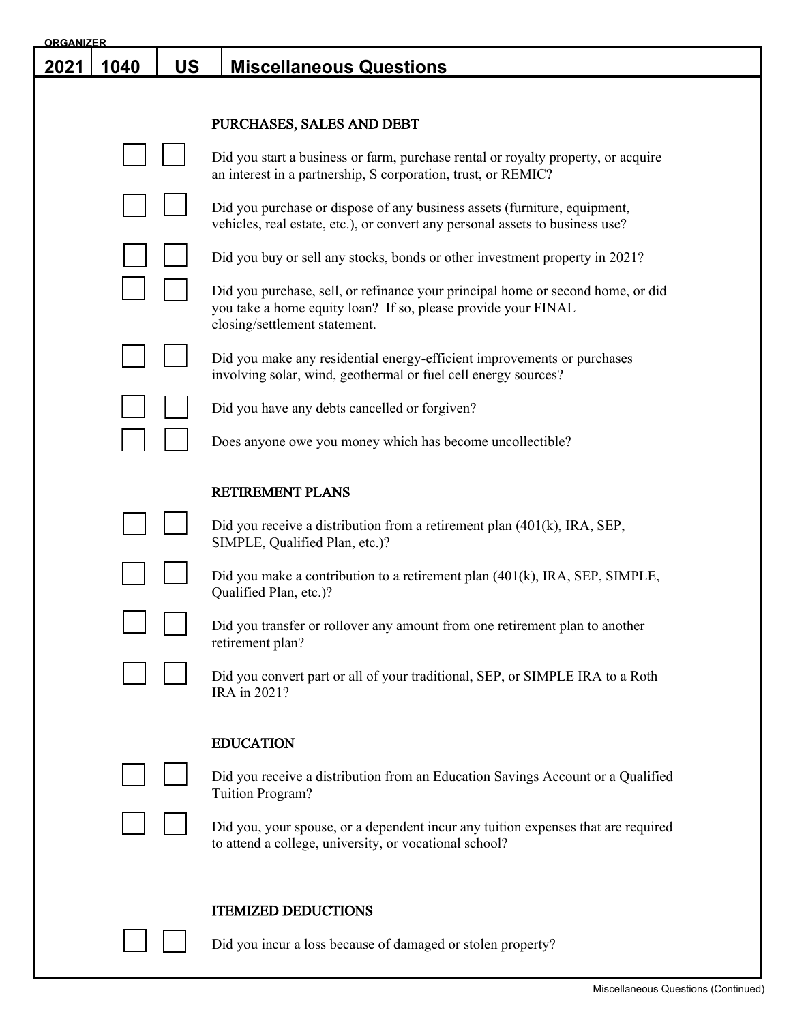| <b>ORGANIZER</b> |      |           |                                                                                                                                                                                   |
|------------------|------|-----------|-----------------------------------------------------------------------------------------------------------------------------------------------------------------------------------|
| <u> 2021</u>     | 1040 | <b>US</b> | <b>Miscellaneous Questions</b>                                                                                                                                                    |
|                  |      |           |                                                                                                                                                                                   |
|                  |      |           | PURCHASES, SALES AND DEBT                                                                                                                                                         |
|                  |      |           | Did you start a business or farm, purchase rental or royalty property, or acquire<br>an interest in a partnership, S corporation, trust, or REMIC?                                |
|                  |      |           | Did you purchase or dispose of any business assets (furniture, equipment,<br>vehicles, real estate, etc.), or convert any personal assets to business use?                        |
|                  |      |           | Did you buy or sell any stocks, bonds or other investment property in 2021?                                                                                                       |
|                  |      |           | Did you purchase, sell, or refinance your principal home or second home, or did<br>you take a home equity loan? If so, please provide your FINAL<br>closing/settlement statement. |
|                  |      |           | Did you make any residential energy-efficient improvements or purchases<br>involving solar, wind, geothermal or fuel cell energy sources?                                         |
|                  |      |           | Did you have any debts cancelled or forgiven?                                                                                                                                     |
|                  |      |           | Does anyone owe you money which has become uncollectible?                                                                                                                         |
|                  |      |           | <b>RETIREMENT PLANS</b>                                                                                                                                                           |
|                  |      |           | Did you receive a distribution from a retirement plan $(401(k), \text{IRA}, \text{SEP},$<br>SIMPLE, Qualified Plan, etc.)?                                                        |
|                  |      |           | Did you make a contribution to a retirement plan $(401(k), \text{IRA}, \text{SEP}, \text{SIMPLE},$<br>Qualified Plan, etc.)?                                                      |
|                  |      |           | Did you transfer or rollover any amount from one retirement plan to another<br>retirement plan?                                                                                   |
|                  |      |           | Did you convert part or all of your traditional, SEP, or SIMPLE IRA to a Roth<br>IRA in 2021?                                                                                     |
|                  |      |           | <b>EDUCATION</b>                                                                                                                                                                  |
|                  |      |           | Did you receive a distribution from an Education Savings Account or a Qualified<br>Tuition Program?                                                                               |
|                  |      |           | Did you, your spouse, or a dependent incur any tuition expenses that are required<br>to attend a college, university, or vocational school?                                       |
|                  |      |           | <b>ITEMIZED DEDUCTIONS</b>                                                                                                                                                        |
|                  |      |           | Did you incur a loss because of damaged or stolen property?                                                                                                                       |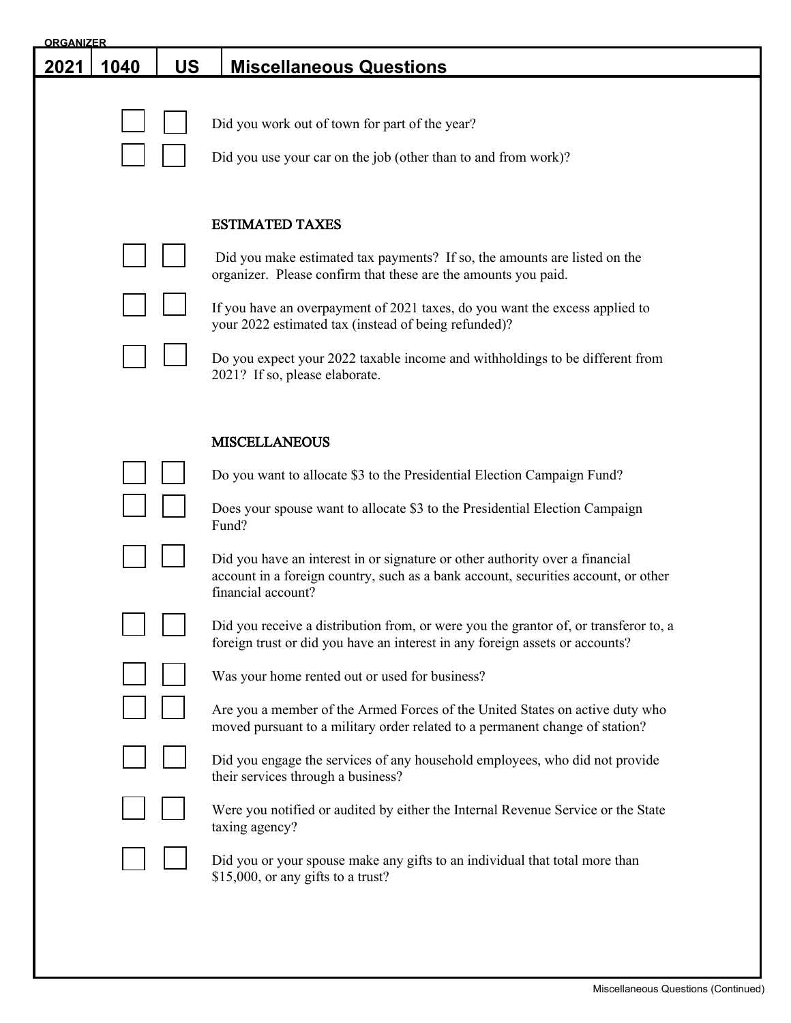| <b>ORGANIZER</b> |      |           |                                                                                                                                                                                                                                                                                                                                                                                                                                                                                                                                                                                                                                                                                                                                                                                                                                                                                                                                                                                                                                                                                                                               |
|------------------|------|-----------|-------------------------------------------------------------------------------------------------------------------------------------------------------------------------------------------------------------------------------------------------------------------------------------------------------------------------------------------------------------------------------------------------------------------------------------------------------------------------------------------------------------------------------------------------------------------------------------------------------------------------------------------------------------------------------------------------------------------------------------------------------------------------------------------------------------------------------------------------------------------------------------------------------------------------------------------------------------------------------------------------------------------------------------------------------------------------------------------------------------------------------|
| 2021             | 1040 | <b>US</b> | <b>Miscellaneous Questions</b>                                                                                                                                                                                                                                                                                                                                                                                                                                                                                                                                                                                                                                                                                                                                                                                                                                                                                                                                                                                                                                                                                                |
|                  |      |           | Did you work out of town for part of the year?<br>Did you use your car on the job (other than to and from work)?                                                                                                                                                                                                                                                                                                                                                                                                                                                                                                                                                                                                                                                                                                                                                                                                                                                                                                                                                                                                              |
|                  |      |           | <b>ESTIMATED TAXES</b><br>Did you make estimated tax payments? If so, the amounts are listed on the<br>organizer. Please confirm that these are the amounts you paid.<br>If you have an overpayment of 2021 taxes, do you want the excess applied to<br>your 2022 estimated tax (instead of being refunded)?<br>Do you expect your 2022 taxable income and withholdings to be different from<br>2021? If so, please elaborate.                                                                                                                                                                                                                                                                                                                                                                                                                                                                                                                                                                                                                                                                                                |
|                  |      |           | <b>MISCELLANEOUS</b><br>Do you want to allocate \$3 to the Presidential Election Campaign Fund?<br>Does your spouse want to allocate \$3 to the Presidential Election Campaign<br>Fund?<br>Did you have an interest in or signature or other authority over a financial<br>account in a foreign country, such as a bank account, securities account, or other<br>financial account?<br>Did you receive a distribution from, or were you the grantor of, or transferor to, a<br>foreign trust or did you have an interest in any foreign assets or accounts?<br>Was your home rented out or used for business?<br>Are you a member of the Armed Forces of the United States on active duty who<br>moved pursuant to a military order related to a permanent change of station?<br>Did you engage the services of any household employees, who did not provide<br>their services through a business?<br>Were you notified or audited by either the Internal Revenue Service or the State<br>taxing agency?<br>Did you or your spouse make any gifts to an individual that total more than<br>\$15,000, or any gifts to a trust? |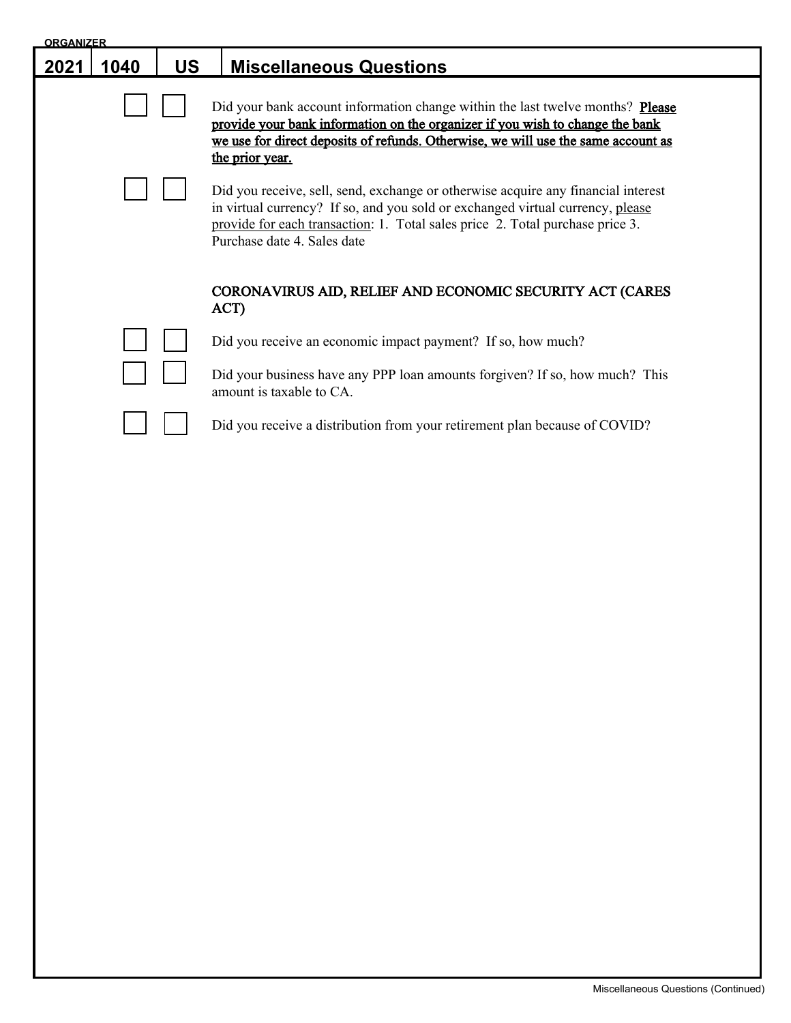| <b>ORGANIZER</b> |      |           |                                                                                                                                                                                                                                                                                     |
|------------------|------|-----------|-------------------------------------------------------------------------------------------------------------------------------------------------------------------------------------------------------------------------------------------------------------------------------------|
| 2021             | 1040 | <b>US</b> | <b>Miscellaneous Questions</b>                                                                                                                                                                                                                                                      |
|                  |      |           | Did your bank account information change within the last twelve months? Please<br>provide your bank information on the organizer if you wish to change the bank<br>we use for direct deposits of refunds. Otherwise, we will use the same account as<br>the prior year.             |
|                  |      |           | Did you receive, sell, send, exchange or otherwise acquire any financial interest<br>in virtual currency? If so, and you sold or exchanged virtual currency, please<br>provide for each transaction: 1. Total sales price 2. Total purchase price 3.<br>Purchase date 4. Sales date |
|                  |      |           | CORONAVIRUS AID, RELIEF AND ECONOMIC SECURITY ACT (CARES<br>ACT)                                                                                                                                                                                                                    |
|                  |      |           | Did you receive an economic impact payment? If so, how much?                                                                                                                                                                                                                        |
|                  |      |           | Did your business have any PPP loan amounts for given? If so, how much? This<br>amount is taxable to CA.                                                                                                                                                                            |
|                  |      |           | Did you receive a distribution from your retirement plan because of COVID?                                                                                                                                                                                                          |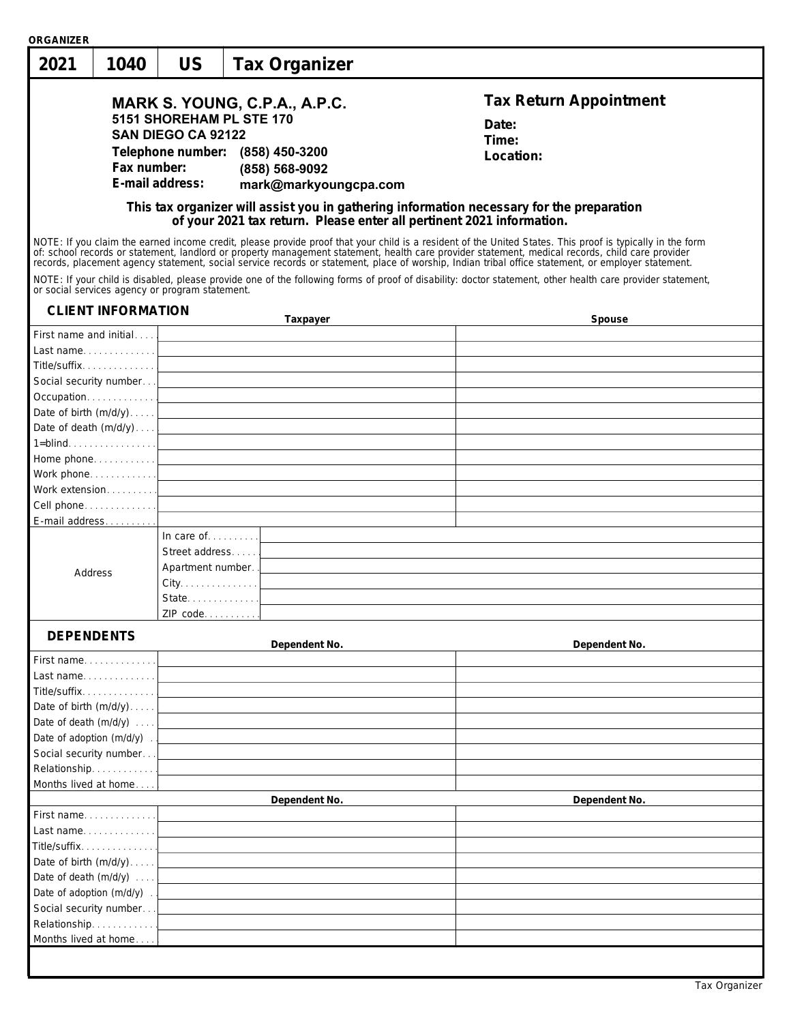| ORGANIZER                                      |                                                                                                                                                                   |                                                                                                                             |                                                                                                              |                                                                                                                                                                                                                                                                                                                                                                                                                                                                                                                                                                                                                                                                                                                                                                                                 |
|------------------------------------------------|-------------------------------------------------------------------------------------------------------------------------------------------------------------------|-----------------------------------------------------------------------------------------------------------------------------|--------------------------------------------------------------------------------------------------------------|-------------------------------------------------------------------------------------------------------------------------------------------------------------------------------------------------------------------------------------------------------------------------------------------------------------------------------------------------------------------------------------------------------------------------------------------------------------------------------------------------------------------------------------------------------------------------------------------------------------------------------------------------------------------------------------------------------------------------------------------------------------------------------------------------|
| 2021                                           | 1040                                                                                                                                                              | US                                                                                                                          | Tax Organizer                                                                                                |                                                                                                                                                                                                                                                                                                                                                                                                                                                                                                                                                                                                                                                                                                                                                                                                 |
|                                                | Fax number:                                                                                                                                                       | 5151 SHOREHAM PL STE 170<br><b>SAN DIEGO CA 92122</b><br>E-mail address:<br>or social services agency or program statement. | MARK S. YOUNG, C.P.A., A.P.C.<br>Telephone number: (858) 450-3200<br>(858) 568-9092<br>mark@markyoungcpa.com | <b>Tax Return Appointment</b><br>Date:<br>Time:<br>Location:<br>This tax organizer will assist you in gathering information necessary for the preparation<br>of your 2021 tax return. Please enter all pertinent 2021 information.<br>NOTE: If you claim the earned income credit, please provide proof that your child is a resident of the United States. This proof is typically in the form<br>of: school records or statement, landlord or property management statement, health care provider statement, medical records, child care provider records, placement agency statement, social service records or statement, pla<br>NOTE: If your child is disabled, please provide one of the following forms of proof of disability: doctor statement, other health care provider statement, |
|                                                | <b>CLIENT INFORMATION</b>                                                                                                                                         |                                                                                                                             | Taxpayer                                                                                                     | Spouse                                                                                                                                                                                                                                                                                                                                                                                                                                                                                                                                                                                                                                                                                                                                                                                          |
| Title/suffix<br>Address                        | First name and initial<br>E-mail address                                                                                                                          | In care of $\dots$<br>Street address<br>Apartment number.<br>State<br>ZIP_code                                              | Date of birth $(m/d/y)$<br>Date of death $(m/d/y)$<br>Work phone. $\ldots \ldots \ldots \ldots$              |                                                                                                                                                                                                                                                                                                                                                                                                                                                                                                                                                                                                                                                                                                                                                                                                 |
| <b>DEPENDENTS</b>                              |                                                                                                                                                                   |                                                                                                                             | Dependent No.                                                                                                | Dependent No.                                                                                                                                                                                                                                                                                                                                                                                                                                                                                                                                                                                                                                                                                                                                                                                   |
|                                                | First name<br>Last name<br>Title/suffix<br>Date of birth $(m/d/y)$<br>Date of death (m/d/y)<br>Date of adoption (m/d/y)<br>Social security number<br>Relationship |                                                                                                                             |                                                                                                              |                                                                                                                                                                                                                                                                                                                                                                                                                                                                                                                                                                                                                                                                                                                                                                                                 |
|                                                | Months lived at home                                                                                                                                              |                                                                                                                             | Dependent No.                                                                                                | Dependent No.                                                                                                                                                                                                                                                                                                                                                                                                                                                                                                                                                                                                                                                                                                                                                                                   |
| Social security number<br>Months lived at home | First name<br>Last name<br>Title/suffix.<br>Date of birth $(m/d/y)$<br>Date of death (m/d/y)<br>Date of adoption (m/d/y)<br>Relationship                          |                                                                                                                             |                                                                                                              |                                                                                                                                                                                                                                                                                                                                                                                                                                                                                                                                                                                                                                                                                                                                                                                                 |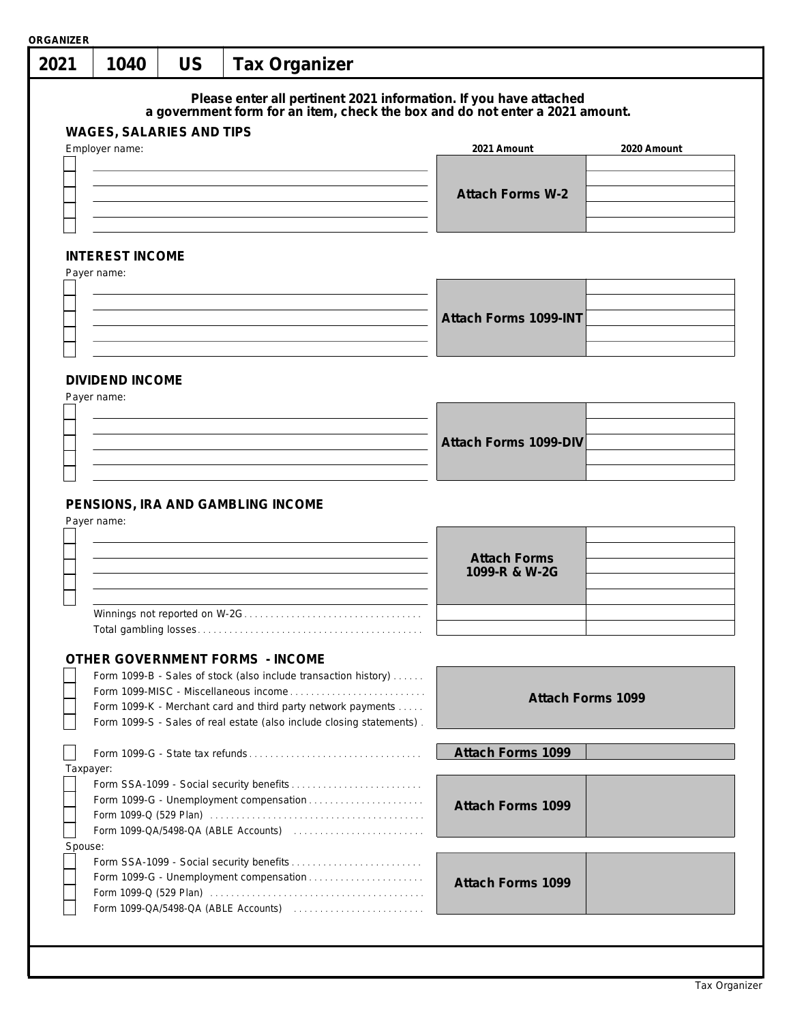| 2021                 | 1040                                       | US | <b>Tax Organizer</b>                                                                                                                                                                                                                              |  |                                                                                                                                                   |             |
|----------------------|--------------------------------------------|----|---------------------------------------------------------------------------------------------------------------------------------------------------------------------------------------------------------------------------------------------------|--|---------------------------------------------------------------------------------------------------------------------------------------------------|-------------|
|                      |                                            |    |                                                                                                                                                                                                                                                   |  | Please enter all pertinent 2021 information. If you have attached<br>a government form for an item, check the box and do not enter a 2021 amount. |             |
|                      | WAGES, SALARIES AND TIPS<br>Employer name: |    |                                                                                                                                                                                                                                                   |  | 2021 Amount                                                                                                                                       | 2020 Amount |
|                      |                                            |    |                                                                                                                                                                                                                                                   |  | <b>Attach Forms W-2</b>                                                                                                                           |             |
|                      | <b>INTEREST INCOME</b><br>Payer name:      |    |                                                                                                                                                                                                                                                   |  |                                                                                                                                                   |             |
|                      |                                            |    |                                                                                                                                                                                                                                                   |  | Attach Forms 1099-INT                                                                                                                             |             |
|                      | <b>DIVIDEND INCOME</b><br>Payer name:      |    |                                                                                                                                                                                                                                                   |  |                                                                                                                                                   |             |
|                      |                                            |    |                                                                                                                                                                                                                                                   |  | Attach Forms 1099-DIV                                                                                                                             |             |
|                      |                                            |    |                                                                                                                                                                                                                                                   |  |                                                                                                                                                   |             |
|                      | Payer name:                                |    | PENSIONS, IRA AND GAMBLING INCOME                                                                                                                                                                                                                 |  |                                                                                                                                                   |             |
|                      |                                            |    |                                                                                                                                                                                                                                                   |  | <b>Attach Forms</b><br>1099-R & W-2G                                                                                                              |             |
|                      |                                            |    |                                                                                                                                                                                                                                                   |  |                                                                                                                                                   |             |
|                      |                                            |    | OTHER GOVERNMENT FORMS - INCOME                                                                                                                                                                                                                   |  |                                                                                                                                                   |             |
|                      |                                            |    | Form 1099-B - Sales of stock (also include transaction history)<br>Form 1099-MISC - Miscellaneous income<br>Form 1099-K - Merchant card and third party network payments<br>Form 1099-S - Sales of real estate (also include closing statements). |  | Attach Forms 1099                                                                                                                                 |             |
|                      |                                            |    |                                                                                                                                                                                                                                                   |  | Attach Forms 1099                                                                                                                                 |             |
| Taxpayer:<br>Spouse: |                                            |    |                                                                                                                                                                                                                                                   |  | Attach Forms 1099                                                                                                                                 |             |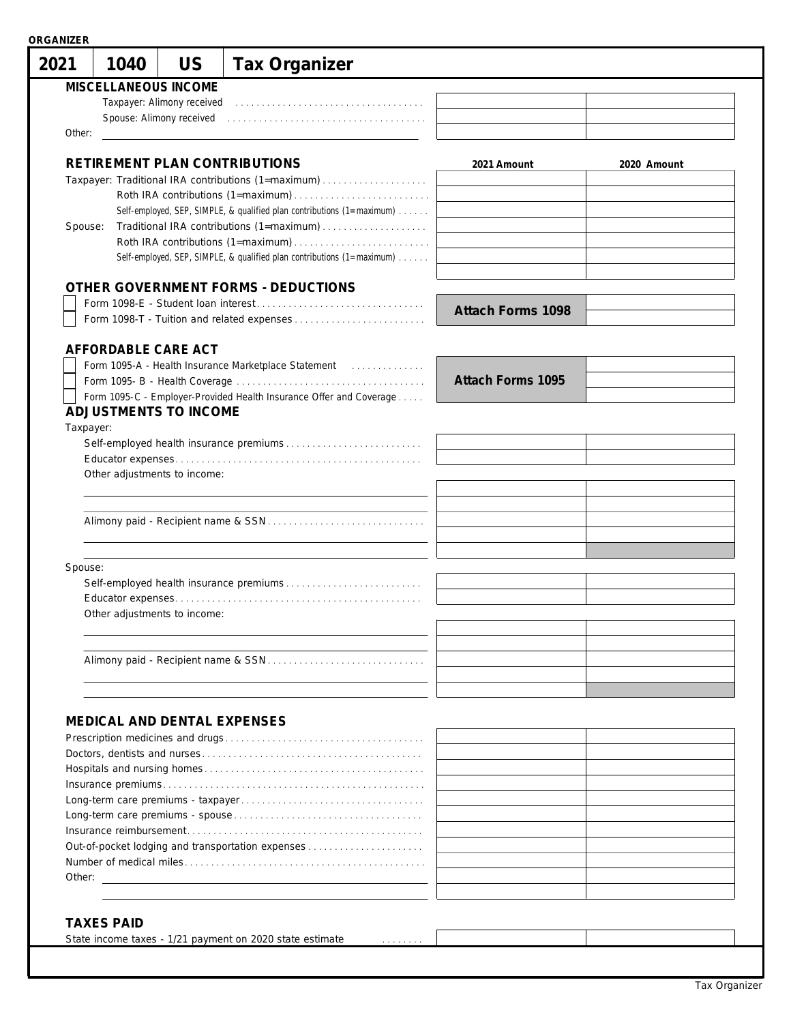| 2021      | 1040                | <b>US</b>                    | <b>Tax Organizer</b>                                                           |                   |             |
|-----------|---------------------|------------------------------|--------------------------------------------------------------------------------|-------------------|-------------|
|           |                     | MISCELLANEOUS INCOME         |                                                                                |                   |             |
|           |                     | Taxpayer: Alimony received   |                                                                                |                   |             |
|           |                     | Spouse: Alimony received     |                                                                                |                   |             |
| Other:    |                     |                              |                                                                                |                   |             |
|           |                     |                              |                                                                                |                   |             |
|           |                     |                              | RETIREMENT PLAN CONTRIBUTIONS                                                  | 2021 Amount       | 2020 Amount |
|           |                     |                              | Taxpayer: Traditional IRA contributions (1=maximum)                            |                   |             |
|           |                     |                              |                                                                                |                   |             |
|           |                     |                              | Self-employed, SEP, SIMPLE, & qualified plan contributions (1=maximum)         |                   |             |
| Spouse:   |                     |                              |                                                                                |                   |             |
|           |                     |                              |                                                                                |                   |             |
|           |                     |                              | Self-employed, SEP, SIMPLE, & qualified plan contributions (1=maximum)         |                   |             |
|           |                     |                              |                                                                                |                   |             |
|           |                     |                              | OTHER GOVERNMENT FORMS - DEDUCTIONS                                            |                   |             |
|           |                     |                              |                                                                                | Attach Forms 1098 |             |
|           |                     |                              |                                                                                |                   |             |
|           | AFFORDABLE CARE ACT |                              |                                                                                |                   |             |
|           |                     |                              |                                                                                |                   |             |
|           |                     |                              |                                                                                | Attach Forms 1095 |             |
|           |                     |                              | Form 1095-C - Employer-Provided Health Insurance Offer and Coverage            |                   |             |
|           |                     | ADJUSTMENTS TO INCOME        |                                                                                |                   |             |
| Taxpayer: |                     |                              |                                                                                |                   |             |
|           |                     |                              |                                                                                |                   |             |
|           |                     |                              |                                                                                |                   |             |
|           |                     | Other adjustments to income: |                                                                                |                   |             |
|           |                     |                              |                                                                                |                   |             |
|           |                     |                              |                                                                                |                   |             |
|           |                     |                              |                                                                                |                   |             |
|           |                     |                              |                                                                                |                   |             |
| Spouse:   |                     |                              |                                                                                |                   |             |
|           |                     |                              |                                                                                |                   |             |
|           |                     |                              |                                                                                |                   |             |
|           |                     | Other adjustments to income: |                                                                                |                   |             |
|           |                     |                              |                                                                                |                   |             |
|           |                     |                              |                                                                                |                   |             |
|           |                     |                              |                                                                                |                   |             |
|           |                     |                              |                                                                                |                   |             |
|           |                     |                              |                                                                                |                   |             |
|           |                     |                              |                                                                                |                   |             |
|           |                     |                              | MEDICAL AND DENTAL EXPENSES                                                    |                   |             |
|           |                     |                              |                                                                                |                   |             |
|           |                     |                              |                                                                                |                   |             |
|           |                     |                              |                                                                                |                   |             |
|           |                     |                              |                                                                                |                   |             |
|           |                     |                              |                                                                                |                   |             |
|           |                     |                              |                                                                                |                   |             |
|           |                     |                              | Out-of-pocket lodging and transportation expenses                              |                   |             |
|           |                     |                              |                                                                                |                   |             |
|           |                     |                              |                                                                                |                   |             |
|           |                     |                              |                                                                                |                   |             |
|           |                     |                              |                                                                                |                   |             |
|           | <b>TAXES PAID</b>   |                              |                                                                                |                   |             |
|           |                     |                              | State income taxes - 1/21 payment on 2020 state estimate<br>and a strainer and |                   |             |